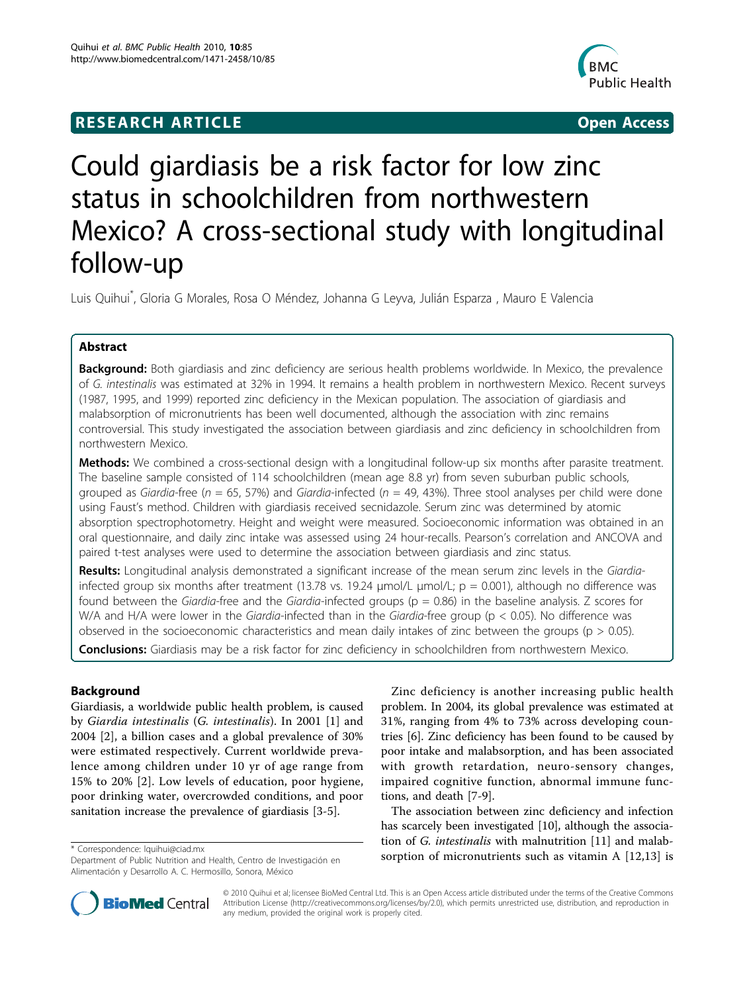# **RESEARCH ARTICLE Example 2014 CONSUMING ACCESS**



# Could giardiasis be a risk factor for low zinc status in schoolchildren from northwestern Mexico? A cross-sectional study with longitudinal follow-up

Luis Quihui\* , Gloria G Morales, Rosa O Méndez, Johanna G Leyva, Julián Esparza , Mauro E Valencia

# Abstract

**Background:** Both giardiasis and zinc deficiency are serious health problems worldwide. In Mexico, the prevalence of G. intestinalis was estimated at 32% in 1994. It remains a health problem in northwestern Mexico. Recent surveys (1987, 1995, and 1999) reported zinc deficiency in the Mexican population. The association of giardiasis and malabsorption of micronutrients has been well documented, although the association with zinc remains controversial. This study investigated the association between giardiasis and zinc deficiency in schoolchildren from northwestern Mexico.

Methods: We combined a cross-sectional design with a longitudinal follow-up six months after parasite treatment. The baseline sample consisted of 114 schoolchildren (mean age 8.8 yr) from seven suburban public schools, grouped as Giardia-free ( $n = 65$ , 57%) and Giardia-infected ( $n = 49$ , 43%). Three stool analyses per child were done using Faust's method. Children with giardiasis received secnidazole. Serum zinc was determined by atomic absorption spectrophotometry. Height and weight were measured. Socioeconomic information was obtained in an oral questionnaire, and daily zinc intake was assessed using 24 hour-recalls. Pearson's correlation and ANCOVA and paired t-test analyses were used to determine the association between giardiasis and zinc status.

Results: Longitudinal analysis demonstrated a significant increase of the mean serum zinc levels in the Giardiainfected group six months after treatment (13.78 vs. 19.24  $\mu$ mol/L  $\mu$ mol/L; p = 0.001), although no difference was found between the Giardia-free and the Giardia-infected groups ( $p = 0.86$ ) in the baseline analysis. Z scores for W/A and H/A were lower in the Giardia-infected than in the Giardia-free group ( $p < 0.05$ ). No difference was observed in the socioeconomic characteristics and mean daily intakes of zinc between the groups ( $p > 0.05$ ).

**Conclusions:** Giardiasis may be a risk factor for zinc deficiency in schoolchildren from northwestern Mexico.

# Background

Giardiasis, a worldwide public health problem, is caused by Giardia intestinalis (G. intestinalis). In 2001 [[1\]](#page-5-0) and 2004 [\[2](#page-5-0)], a billion cases and a global prevalence of 30% were estimated respectively. Current worldwide prevalence among children under 10 yr of age range from 15% to 20% [[2](#page-5-0)]. Low levels of education, poor hygiene, poor drinking water, overcrowded conditions, and poor sanitation increase the prevalence of giardiasis [\[3](#page-5-0)-[5\]](#page-5-0).

Zinc deficiency is another increasing public health problem. In 2004, its global prevalence was estimated at 31%, ranging from 4% to 73% across developing countries [[6\]](#page-5-0). Zinc deficiency has been found to be caused by poor intake and malabsorption, and has been associated with growth retardation, neuro-sensory changes, impaired cognitive function, abnormal immune functions, and death [\[7-9](#page-5-0)].

The association between zinc deficiency and infection has scarcely been investigated [\[10](#page-5-0)], although the association of G. intestinalis with malnutrition [[11](#page-5-0)] and malab-sorption of micronutrients such as vitamin A [\[12,13](#page-5-0)] is<br>Department of Public Nutrition and Health Centro de Investigación en sorption of micronutrients such as vitamin A [12,13] is



© 2010 Quihui et al; licensee BioMed Central Ltd. This is an Open Access article distributed under the terms of the Creative Commons Attribution License [\(http://creativecommons.org/licenses/by/2.0](http://creativecommons.org/licenses/by/2.0)), which permits unrestricted use, distribution, and reproduction in any medium, provided the original work is properly cited.

Department of Public Nutrition and Health, Centro de Investigación en Alimentación y Desarrollo A. C. Hermosillo, Sonora, México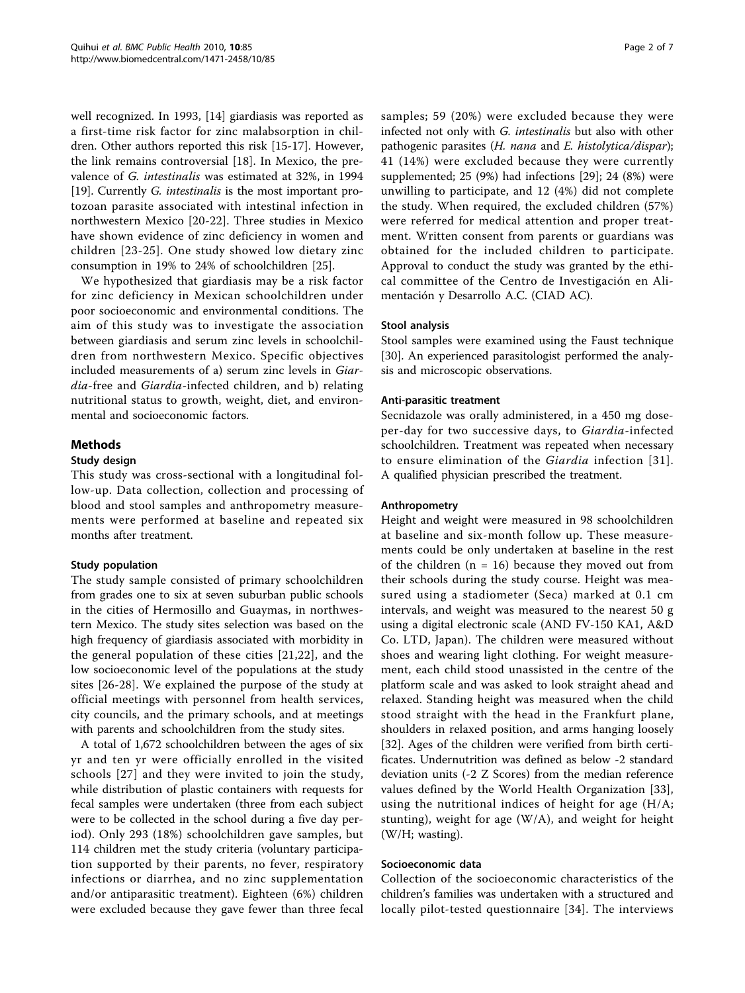well recognized. In 1993, [\[14](#page-5-0)] giardiasis was reported as a first-time risk factor for zinc malabsorption in children. Other authors reported this risk [\[15-17](#page-5-0)]. However, the link remains controversial [\[18](#page-5-0)]. In Mexico, the prevalence of G. intestinalis was estimated at 32%, in 1994 [[19\]](#page-5-0). Currently *G. intestinalis* is the most important protozoan parasite associated with intestinal infection in northwestern Mexico [[20](#page-5-0)-[22\]](#page-5-0). Three studies in Mexico have shown evidence of zinc deficiency in women and children [[23](#page-5-0)-[25\]](#page-5-0). One study showed low dietary zinc consumption in 19% to 24% of schoolchildren [[25](#page-5-0)].

We hypothesized that giardiasis may be a risk factor for zinc deficiency in Mexican schoolchildren under poor socioeconomic and environmental conditions. The aim of this study was to investigate the association between giardiasis and serum zinc levels in schoolchildren from northwestern Mexico. Specific objectives included measurements of a) serum zinc levels in Giardia-free and Giardia-infected children, and b) relating nutritional status to growth, weight, diet, and environmental and socioeconomic factors.

# Methods

# Study design

This study was cross-sectional with a longitudinal follow-up. Data collection, collection and processing of blood and stool samples and anthropometry measurements were performed at baseline and repeated six months after treatment.

# Study population

The study sample consisted of primary schoolchildren from grades one to six at seven suburban public schools in the cities of Hermosillo and Guaymas, in northwestern Mexico. The study sites selection was based on the high frequency of giardiasis associated with morbidity in the general population of these cities [[21,22\]](#page-5-0), and the low socioeconomic level of the populations at the study sites [[26-](#page-5-0)[28](#page-6-0)]. We explained the purpose of the study at official meetings with personnel from health services, city councils, and the primary schools, and at meetings with parents and schoolchildren from the study sites.

A total of 1,672 schoolchildren between the ages of six yr and ten yr were officially enrolled in the visited schools [[27\]](#page-6-0) and they were invited to join the study, while distribution of plastic containers with requests for fecal samples were undertaken (three from each subject were to be collected in the school during a five day period). Only 293 (18%) schoolchildren gave samples, but 114 children met the study criteria (voluntary participation supported by their parents, no fever, respiratory infections or diarrhea, and no zinc supplementation and/or antiparasitic treatment). Eighteen (6%) children were excluded because they gave fewer than three fecal samples; 59 (20%) were excluded because they were infected not only with G. intestinalis but also with other pathogenic parasites (H. nana and E. histolytica/dispar); 41 (14%) were excluded because they were currently supplemented; 25 (9%) had infections [\[29](#page-6-0)]; 24 (8%) were unwilling to participate, and 12 (4%) did not complete the study. When required, the excluded children (57%) were referred for medical attention and proper treatment. Written consent from parents or guardians was obtained for the included children to participate. Approval to conduct the study was granted by the ethical committee of the Centro de Investigación en Alimentación y Desarrollo A.C. (CIAD AC).

# Stool analysis

Stool samples were examined using the Faust technique [[30\]](#page-6-0). An experienced parasitologist performed the analysis and microscopic observations.

# Anti-parasitic treatment

Secnidazole was orally administered, in a 450 mg doseper-day for two successive days, to Giardia-infected schoolchildren. Treatment was repeated when necessary to ensure elimination of the Giardia infection [[31\]](#page-6-0). A qualified physician prescribed the treatment.

# Anthropometry

Height and weight were measured in 98 schoolchildren at baseline and six-month follow up. These measurements could be only undertaken at baseline in the rest of the children  $(n = 16)$  because they moved out from their schools during the study course. Height was measured using a stadiometer (Seca) marked at 0.1 cm intervals, and weight was measured to the nearest 50 g using a digital electronic scale (AND FV-150 KA1, A&D Co. LTD, Japan). The children were measured without shoes and wearing light clothing. For weight measurement, each child stood unassisted in the centre of the platform scale and was asked to look straight ahead and relaxed. Standing height was measured when the child stood straight with the head in the Frankfurt plane, shoulders in relaxed position, and arms hanging loosely [[32\]](#page-6-0). Ages of the children were verified from birth certificates. Undernutrition was defined as below -2 standard deviation units (-2 Z Scores) from the median reference values defined by the World Health Organization [[33](#page-6-0)], using the nutritional indices of height for age (H/A; stunting), weight for age (W/A), and weight for height (W/H; wasting).

# Socioeconomic data

Collection of the socioeconomic characteristics of the children's families was undertaken with a structured and locally pilot-tested questionnaire [[34](#page-6-0)]. The interviews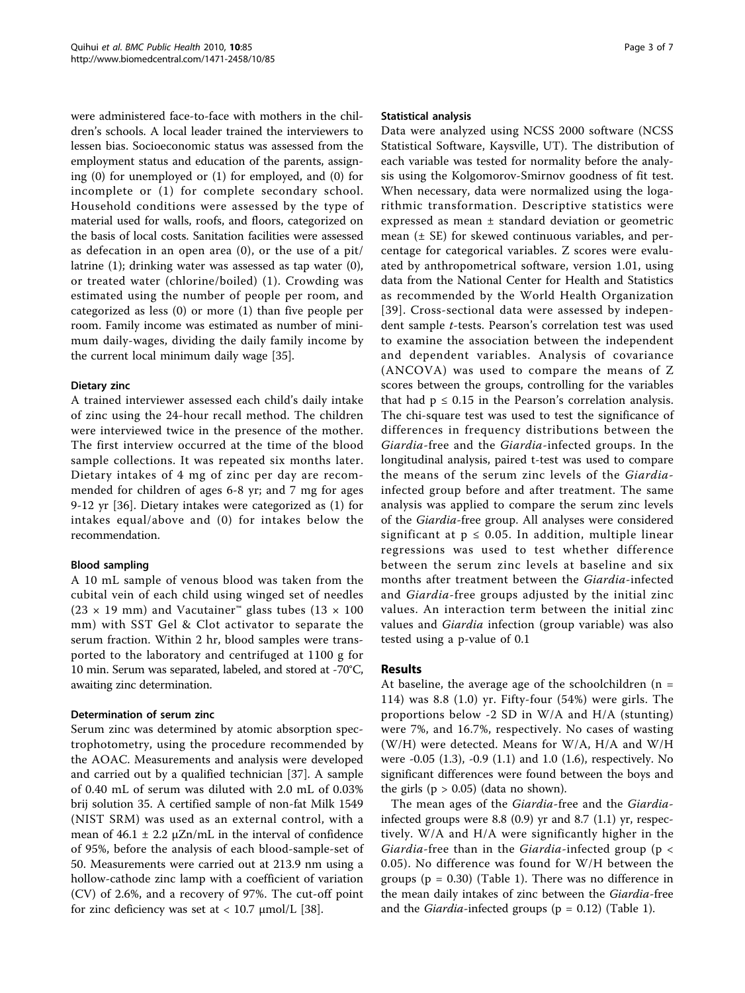were administered face-to-face with mothers in the children's schools. A local leader trained the interviewers to lessen bias. Socioeconomic status was assessed from the employment status and education of the parents, assigning (0) for unemployed or (1) for employed, and (0) for incomplete or (1) for complete secondary school. Household conditions were assessed by the type of material used for walls, roofs, and floors, categorized on the basis of local costs. Sanitation facilities were assessed as defecation in an open area (0), or the use of a pit/ latrine (1); drinking water was assessed as tap water (0), or treated water (chlorine/boiled) (1). Crowding was estimated using the number of people per room, and categorized as less (0) or more (1) than five people per room. Family income was estimated as number of minimum daily-wages, dividing the daily family income by the current local minimum daily wage [\[35](#page-6-0)].

#### Dietary zinc

A trained interviewer assessed each child's daily intake of zinc using the 24-hour recall method. The children were interviewed twice in the presence of the mother. The first interview occurred at the time of the blood sample collections. It was repeated six months later. Dietary intakes of 4 mg of zinc per day are recommended for children of ages 6-8 yr; and 7 mg for ages 9-12 yr [[36\]](#page-6-0). Dietary intakes were categorized as (1) for intakes equal/above and (0) for intakes below the recommendation.

# Blood sampling

A 10 mL sample of venous blood was taken from the cubital vein of each child using winged set of needles (23 × 19 mm) and Vacutainer™ glass tubes (13 × 100 mm) with SST Gel & Clot activator to separate the serum fraction. Within 2 hr, blood samples were transported to the laboratory and centrifuged at 1100 g for 10 min. Serum was separated, labeled, and stored at -70°C, awaiting zinc determination.

#### Determination of serum zinc

Serum zinc was determined by atomic absorption spectrophotometry, using the procedure recommended by the AOAC. Measurements and analysis were developed and carried out by a qualified technician [[37\]](#page-6-0). A sample of 0.40 mL of serum was diluted with 2.0 mL of 0.03% brij solution 35. A certified sample of non-fat Milk 1549 (NIST SRM) was used as an external control, with a mean of  $46.1 \pm 2.2 \mu Zn/mL$  in the interval of confidence of 95%, before the analysis of each blood-sample-set of 50. Measurements were carried out at 213.9 nm using a hollow-cathode zinc lamp with a coefficient of variation (CV) of 2.6%, and a recovery of 97%. The cut-off point for zinc deficiency was set at < 10.7 μmol/L [[38](#page-6-0)].

#### Statistical analysis

Data were analyzed using NCSS 2000 software (NCSS Statistical Software, Kaysville, UT). The distribution of each variable was tested for normality before the analysis using the Kolgomorov-Smirnov goodness of fit test. When necessary, data were normalized using the logarithmic transformation. Descriptive statistics were expressed as mean ± standard deviation or geometric mean  $(\pm \text{ SE})$  for skewed continuous variables, and percentage for categorical variables. Z scores were evaluated by anthropometrical software, version 1.01, using data from the National Center for Health and Statistics as recommended by the World Health Organization [[39\]](#page-6-0). Cross-sectional data were assessed by independent sample t-tests. Pearson's correlation test was used to examine the association between the independent and dependent variables. Analysis of covariance (ANCOVA) was used to compare the means of Z scores between the groups, controlling for the variables that had  $p \leq 0.15$  in the Pearson's correlation analysis. The chi-square test was used to test the significance of differences in frequency distributions between the Giardia-free and the Giardia-infected groups. In the longitudinal analysis, paired t-test was used to compare the means of the serum zinc levels of the Giardiainfected group before and after treatment. The same analysis was applied to compare the serum zinc levels of the Giardia-free group. All analyses were considered significant at  $p \le 0.05$ . In addition, multiple linear regressions was used to test whether difference between the serum zinc levels at baseline and six months after treatment between the Giardia-infected and Giardia-free groups adjusted by the initial zinc values. An interaction term between the initial zinc values and Giardia infection (group variable) was also tested using a p-value of 0.1

# Results

At baseline, the average age of the schoolchildren ( $n =$ 114) was 8.8 (1.0) yr. Fifty-four (54%) were girls. The proportions below -2 SD in W/A and H/A (stunting) were 7%, and 16.7%, respectively. No cases of wasting (W/H) were detected. Means for W/A, H/A and W/H were -0.05 (1.3), -0.9 (1.1) and 1.0 (1.6), respectively. No significant differences were found between the boys and the girls  $(p > 0.05)$  (data no shown).

The mean ages of the *Giardia*-free and the *Giardia*infected groups were 8.8 (0.9) yr and 8.7 (1.1) yr, respectively. W/A and H/A were significantly higher in the Giardia-free than in the Giardia-infected group ( $p <$ 0.05). No difference was found for W/H between the groups ( $p = 0.30$ ) (Table [1](#page-3-0)). There was no difference in the mean daily intakes of zinc between the Giardia-free and the *Giardia*-infected groups ( $p = 0.12$ ) (Table [1\)](#page-3-0).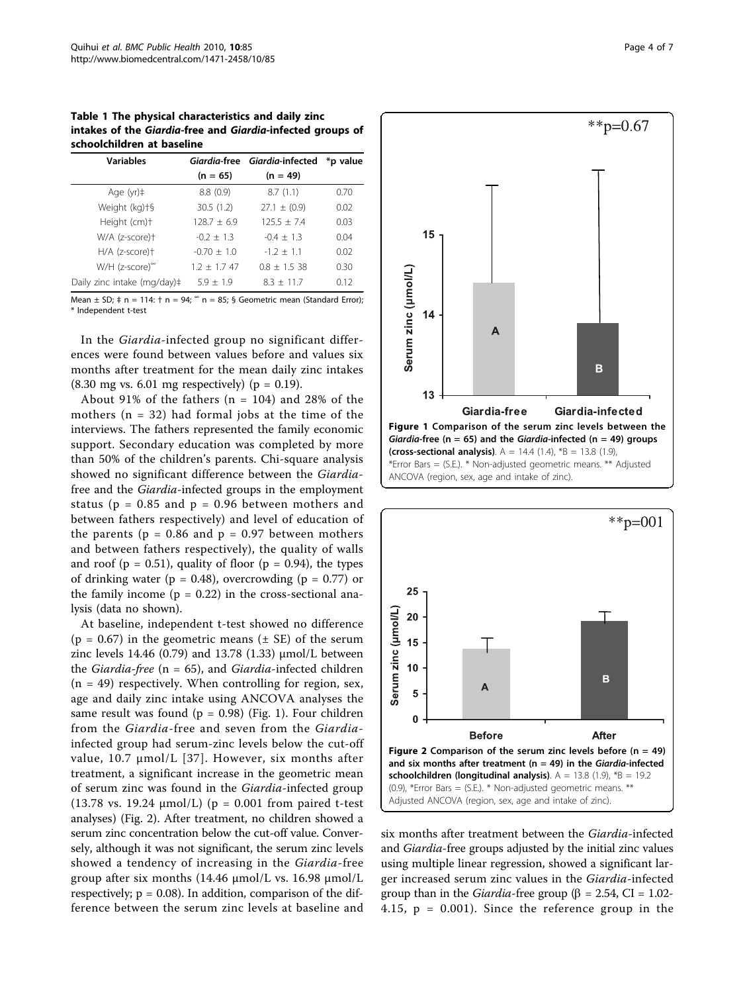<span id="page-3-0"></span>Table 1 The physical characteristics and daily zinc intakes of the Giardia-free and Giardia-infected groups of schoolchildren at baseline

| <b>Variables</b>                               |               | Giardia-free Giardia-infected | *p value |
|------------------------------------------------|---------------|-------------------------------|----------|
|                                                | $(n = 65)$    | $(n = 49)$                    |          |
| Age $(yr)$ #                                   | 8.8(0.9)      | 8.7(1.1)                      | 0.70     |
| Weight (kg)+§                                  | 30.5(1.2)     | $27.1 \pm (0.9)$              | 0.02     |
| Height (cm)+                                   | $128.7 + 6.9$ | $125.5 + 7.4$                 | 0.03     |
| W/A (z-score)†                                 | $-0.2 + 1.3$  | $-0.4 + 1.3$                  | 0.04     |
| H/A (z-score)+                                 | $-0.70 + 1.0$ | $-1.2 + 1.1$                  | 0.02     |
| $W/H$ (z-score) <sup><math>\infty</math></sup> | $1.2 + 1.747$ | $0.8 + 1.5.38$                | 0.30     |
| Daily zinc intake (mg/day)‡                    | $59 + 19$     | $8.3 + 11.7$                  | 0.12     |

Mean  $\pm$  SD;  $\pm$  n = 114:  $\pm$  n = 94;  $^{\circ}$  n = 85; § Geometric mean (Standard Error); \* Independent t-test

In the Giardia-infected group no significant differences were found between values before and values six months after treatment for the mean daily zinc intakes  $(8.30 \text{ mg vs. } 6.01 \text{ mg respectively})$  (p = 0.19).

About 91% of the fathers ( $n = 104$ ) and 28% of the mothers  $(n = 32)$  had formal jobs at the time of the interviews. The fathers represented the family economic support. Secondary education was completed by more than 50% of the children's parents. Chi-square analysis showed no significant difference between the Giardiafree and the Giardia-infected groups in the employment status ( $p = 0.85$  and  $p = 0.96$  between mothers and between fathers respectively) and level of education of the parents ( $p = 0.86$  and  $p = 0.97$  between mothers and between fathers respectively), the quality of walls and roof ( $p = 0.51$ ), quality of floor ( $p = 0.94$ ), the types of drinking water ( $p = 0.48$ ), overcrowding ( $p = 0.77$ ) or the family income  $(p = 0.22)$  in the cross-sectional analysis (data no shown).

At baseline, independent t-test showed no difference ( $p = 0.67$ ) in the geometric means ( $\pm$  SE) of the serum zinc levels 14.46 (0.79) and 13.78 (1.33) μmol/L between the *Giardia-free* ( $n = 65$ ), and *Giardia-infected children*  $(n = 49)$  respectively. When controlling for region, sex, age and daily zinc intake using ANCOVA analyses the same result was found ( $p = 0.98$ ) (Fig. 1). Four children from the Giardia-free and seven from the Giardiainfected group had serum-zinc levels below the cut-off value, 10.7 μmol/L [\[37](#page-6-0)]. However, six months after treatment, a significant increase in the geometric mean of serum zinc was found in the Giardia-infected group (13.78 vs. 19.24 μmol/L) (p = 0.001 from paired t-test analyses) (Fig. 2). After treatment, no children showed a serum zinc concentration below the cut-off value. Conversely, although it was not significant, the serum zinc levels showed a tendency of increasing in the Giardia-free group after six months (14.46 μmol/L vs. 16.98 μmol/L respectively;  $p = 0.08$ ). In addition, comparison of the difference between the serum zinc levels at baseline and





six months after treatment between the Giardia-infected and Giardia-free groups adjusted by the initial zinc values using multiple linear regression, showed a significant larger increased serum zinc values in the Giardia-infected group than in the *Giardia*-free group ( $\beta$  = 2.54, CI = 1.02-4.15,  $p = 0.001$ ). Since the reference group in the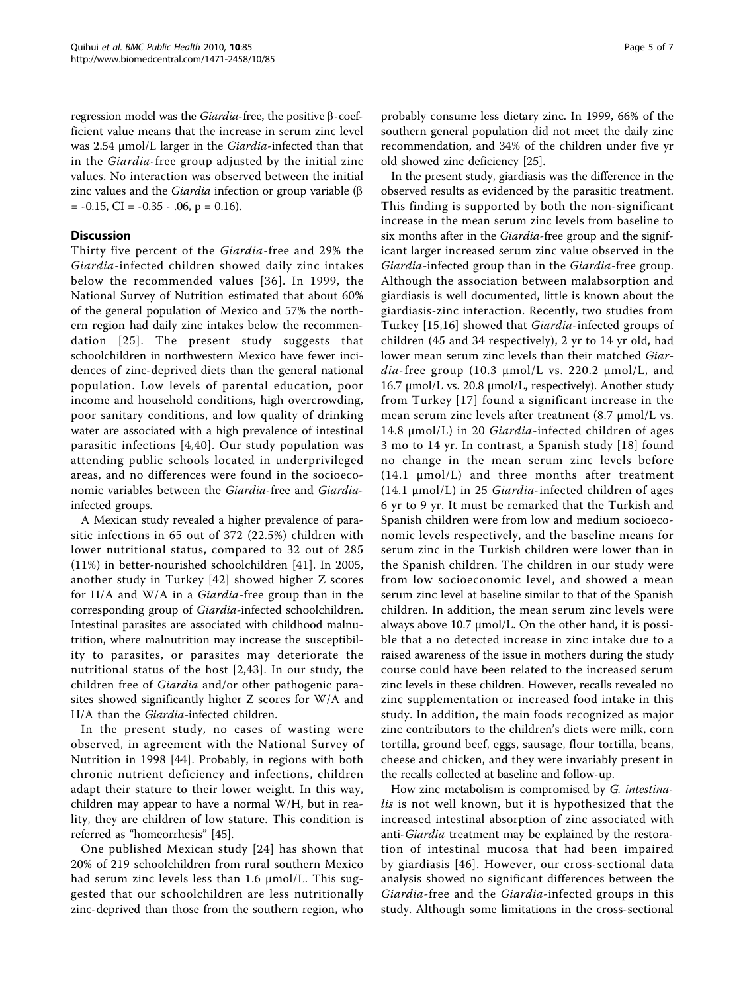regression model was the *Giardia*-free, the positive  $\beta$ -coefficient value means that the increase in serum zinc level was 2.54 μmol/L larger in the Giardia-infected than that in the Giardia-free group adjusted by the initial zinc values. No interaction was observed between the initial zinc values and the *Giardia* infection or group variable  $(\beta)$  $= -0.15$ , CI  $= -0.35 - 0.06$ ,  $p = 0.16$ ).

# **Discussion**

Thirty five percent of the Giardia-free and 29% the Giardia-infected children showed daily zinc intakes below the recommended values [[36](#page-6-0)]. In 1999, the National Survey of Nutrition estimated that about 60% of the general population of Mexico and 57% the northern region had daily zinc intakes below the recommendation [[25\]](#page-5-0). The present study suggests that schoolchildren in northwestern Mexico have fewer incidences of zinc-deprived diets than the general national population. Low levels of parental education, poor income and household conditions, high overcrowding, poor sanitary conditions, and low quality of drinking water are associated with a high prevalence of intestinal parasitic infections [[4,](#page-5-0)[40\]](#page-6-0). Our study population was attending public schools located in underprivileged areas, and no differences were found in the socioeconomic variables between the Giardia-free and Giardiainfected groups.

A Mexican study revealed a higher prevalence of parasitic infections in 65 out of 372 (22.5%) children with lower nutritional status, compared to 32 out of 285 (11%) in better-nourished schoolchildren [[41](#page-6-0)]. In 2005, another study in Turkey [[42](#page-6-0)] showed higher Z scores for H/A and W/A in a Giardia-free group than in the corresponding group of Giardia-infected schoolchildren. Intestinal parasites are associated with childhood malnutrition, where malnutrition may increase the susceptibility to parasites, or parasites may deteriorate the nutritional status of the host [[2,](#page-5-0)[43\]](#page-6-0). In our study, the children free of Giardia and/or other pathogenic parasites showed significantly higher Z scores for W/A and H/A than the Giardia-infected children.

In the present study, no cases of wasting were observed, in agreement with the National Survey of Nutrition in 1998 [[44\]](#page-6-0). Probably, in regions with both chronic nutrient deficiency and infections, children adapt their stature to their lower weight. In this way, children may appear to have a normal W/H, but in reality, they are children of low stature. This condition is referred as "homeorrhesis" [[45\]](#page-6-0).

One published Mexican study [\[24](#page-5-0)] has shown that 20% of 219 schoolchildren from rural southern Mexico had serum zinc levels less than 1.6 μmol/L. This suggested that our schoolchildren are less nutritionally zinc-deprived than those from the southern region, who probably consume less dietary zinc. In 1999, 66% of the southern general population did not meet the daily zinc recommendation, and 34% of the children under five yr old showed zinc deficiency [\[25\]](#page-5-0).

In the present study, giardiasis was the difference in the observed results as evidenced by the parasitic treatment. This finding is supported by both the non-significant increase in the mean serum zinc levels from baseline to six months after in the *Giardia*-free group and the significant larger increased serum zinc value observed in the Giardia-infected group than in the Giardia-free group. Although the association between malabsorption and giardiasis is well documented, little is known about the giardiasis-zinc interaction. Recently, two studies from Turkey [\[15](#page-5-0),[16](#page-5-0)] showed that Giardia-infected groups of children (45 and 34 respectively), 2 yr to 14 yr old, had lower mean serum zinc levels than their matched *Giar*dia-free group (10.3  $\mu$ mol/L vs. 220.2  $\mu$ mol/L, and 16.7 μmol/L vs. 20.8 μmol/L, respectively). Another study from Turkey [[17\]](#page-5-0) found a significant increase in the mean serum zinc levels after treatment (8.7 μmol/L vs. 14.8 μmol/L) in 20 Giardia-infected children of ages 3 mo to 14 yr. In contrast, a Spanish study [[18](#page-5-0)] found no change in the mean serum zinc levels before (14.1 μmol/L) and three months after treatment (14.1  $\mu$ mol/L) in 25 Giardia-infected children of ages 6 yr to 9 yr. It must be remarked that the Turkish and Spanish children were from low and medium socioeconomic levels respectively, and the baseline means for serum zinc in the Turkish children were lower than in the Spanish children. The children in our study were from low socioeconomic level, and showed a mean serum zinc level at baseline similar to that of the Spanish children. In addition, the mean serum zinc levels were always above 10.7 μmol/L. On the other hand, it is possible that a no detected increase in zinc intake due to a raised awareness of the issue in mothers during the study course could have been related to the increased serum zinc levels in these children. However, recalls revealed no zinc supplementation or increased food intake in this study. In addition, the main foods recognized as major zinc contributors to the children's diets were milk, corn tortilla, ground beef, eggs, sausage, flour tortilla, beans, cheese and chicken, and they were invariably present in the recalls collected at baseline and follow-up.

How zinc metabolism is compromised by *G. intestina*lis is not well known, but it is hypothesized that the increased intestinal absorption of zinc associated with anti-Giardia treatment may be explained by the restoration of intestinal mucosa that had been impaired by giardiasis [[46\]](#page-6-0). However, our cross-sectional data analysis showed no significant differences between the Giardia-free and the Giardia-infected groups in this study. Although some limitations in the cross-sectional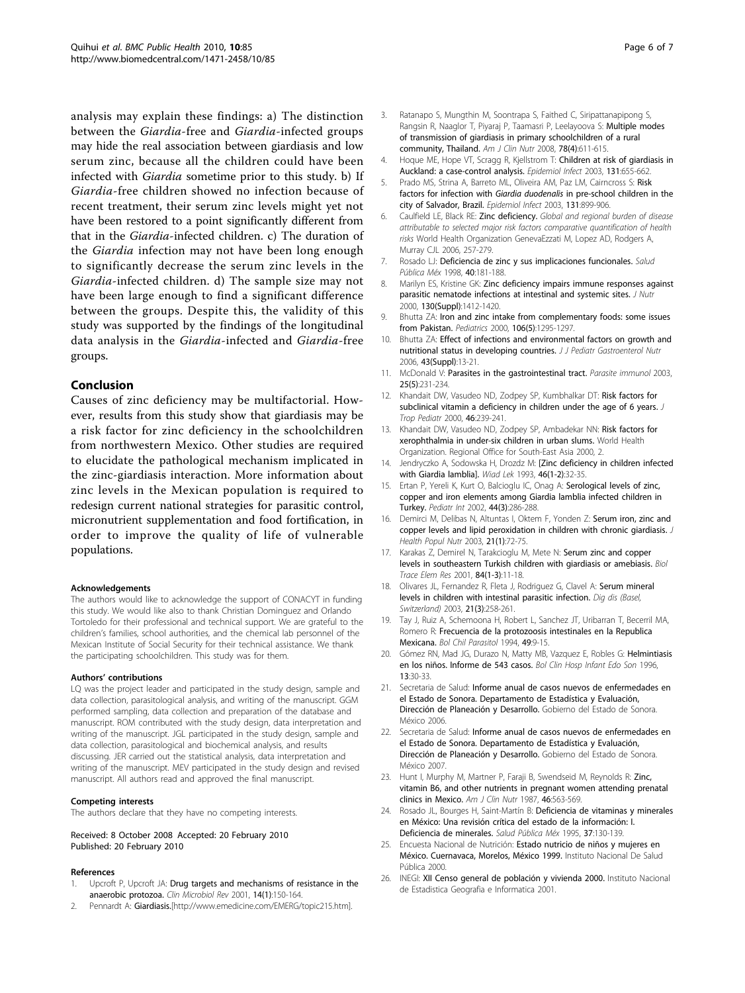<span id="page-5-0"></span>analysis may explain these findings: a) The distinction between the Giardia-free and Giardia-infected groups may hide the real association between giardiasis and low serum zinc, because all the children could have been infected with Giardia sometime prior to this study. b) If Giardia-free children showed no infection because of recent treatment, their serum zinc levels might yet not have been restored to a point significantly different from that in the Giardia-infected children. c) The duration of the Giardia infection may not have been long enough to significantly decrease the serum zinc levels in the Giardia-infected children. d) The sample size may not have been large enough to find a significant difference between the groups. Despite this, the validity of this study was supported by the findings of the longitudinal data analysis in the Giardia-infected and Giardia-free groups.

# Conclusion

Causes of zinc deficiency may be multifactorial. However, results from this study show that giardiasis may be a risk factor for zinc deficiency in the schoolchildren from northwestern Mexico. Other studies are required to elucidate the pathological mechanism implicated in the zinc-giardiasis interaction. More information about zinc levels in the Mexican population is required to redesign current national strategies for parasitic control, micronutrient supplementation and food fortification, in order to improve the quality of life of vulnerable populations.

#### Acknowledgements

The authors would like to acknowledge the support of CONACYT in funding this study. We would like also to thank Christian Dominguez and Orlando Tortoledo for their professional and technical support. We are grateful to the children's families, school authorities, and the chemical lab personnel of the Mexican Institute of Social Security for their technical assistance. We thank the participating schoolchildren. This study was for them.

#### Authors' contributions

LQ was the project leader and participated in the study design, sample and data collection, parasitological analysis, and writing of the manuscript. GGM performed sampling, data collection and preparation of the database and manuscript. ROM contributed with the study design, data interpretation and writing of the manuscript. JGL participated in the study design, sample and data collection, parasitological and biochemical analysis, and results discussing. JER carried out the statistical analysis, data interpretation and writing of the manuscript. MEV participated in the study design and revised manuscript. All authors read and approved the final manuscript.

#### Competing interests

The authors declare that they have no competing interests.

Received: 8 October 2008 Accepted: 20 February 2010 Published: 20 February 2010

#### References

- Upcroft P, Upcroft JA: [Drug targets and mechanisms of resistance in the](http://www.ncbi.nlm.nih.gov/pubmed/11148007?dopt=Abstract) [anaerobic protozoa.](http://www.ncbi.nlm.nih.gov/pubmed/11148007?dopt=Abstract) Clin Microbiol Rev 2001, 14(1):150-164.
- Pennardt A: [Giardiasis.](http://www.ncbi.nlm.nih.gov/pubmed/10155488?dopt=Abstract)[[http://www.emedicine.com/EMERG/topic215.htm\]](http://www.emedicine.com/EMERG/topic215.htm).
- 3. Ratanapo S, Mungthin M, Soontrapa S, Faithed C, Siripattanapipong S, Rangsin R, Naaglor T, Piyaraj P, Taamasri P, Leelayoova S: Multiple modes of transmission of giardiasis in primary schoolchildren of a rural community, Thailand. Am J Clin Nutr 2008, 78(4):611-615.
- 4. Hoque ME, Hope VT, Scragg R, Kjellstrom T: [Children at risk of giardiasis in](http://www.ncbi.nlm.nih.gov/pubmed/12948364?dopt=Abstract) [Auckland: a case-control analysis.](http://www.ncbi.nlm.nih.gov/pubmed/12948364?dopt=Abstract) Epidemiol Infect 2003, 131:655-662.
- 5. Prado MS, Strina A, Barreto ML, Oliveira AM, Paz LM, Cairncross S: [Risk](http://www.ncbi.nlm.nih.gov/pubmed/14596531?dopt=Abstract) factors for infection with Giardia duodenalis [in pre-school children in the](http://www.ncbi.nlm.nih.gov/pubmed/14596531?dopt=Abstract) [city of Salvador, Brazil.](http://www.ncbi.nlm.nih.gov/pubmed/14596531?dopt=Abstract) Epidemiol Infect 2003, 131:899-906.
- 6. Caulfield LE, Black RE: Zinc deficiency. Global and regional burden of disease attributable to selected major risk factors comparative quantification of health risks World Health Organization GenevaEzzati M, Lopez AD, Rodgers A, Murray CJL 2006, 257-279.
- 7. Rosado LJ: Deficiencia de zinc y sus implicaciones funcionales. Salud Pública Méx 1998, 40:181-188.
- 8. Marilyn ES, Kristine GK: Zinc deficiency impairs immune responses against parasitic nematode infections at intestinal and systemic sites. J Nutr 2000, 130(Suppl):1412-1420.
- 9. Bhutta ZA: [Iron and zinc intake from complementary foods: some issues](http://www.ncbi.nlm.nih.gov/pubmed/11061841?dopt=Abstract) [from Pakistan.](http://www.ncbi.nlm.nih.gov/pubmed/11061841?dopt=Abstract) Pediatrics 2000, 106(5):1295-1297.
- 10. Bhutta ZA: Effect of infections and environmental factors on growth and nutritional status in developing countries. J J Pediatr Gastroenterol Nutr 2006, 43(Suppl):13-21.
- 11. McDonald V: [Parasites in the gastrointestinal tract.](http://www.ncbi.nlm.nih.gov/pubmed/12969441?dopt=Abstract) Parasite immunol 2003, 25(5):231-234.
- 12. Khandait DW, Vasudeo ND, Zodpey SP, Kumbhalkar DT: [Risk factors for](http://www.ncbi.nlm.nih.gov/pubmed/10996988?dopt=Abstract) [subclinical vitamin a deficiency in children under the age of 6 years.](http://www.ncbi.nlm.nih.gov/pubmed/10996988?dopt=Abstract) J Trop Pediatr 2000, 46:239-241.
- 13. Khandait DW, Vasudeo ND, Zodpey SP, Ambadekar NN: Risk factors for xerophthalmia in under-six children in urban slums. World Health Organization. Regional Office for South-East Asia 2000, 2.
- 14. Jendryczko A, Sodowska H, Drozdz M: [\[Zinc deficiency in children infected](http://www.ncbi.nlm.nih.gov/pubmed/8249376?dopt=Abstract) [with Giardia lamblia\].](http://www.ncbi.nlm.nih.gov/pubmed/8249376?dopt=Abstract) Wiad Lek 1993, 46(1-2):32-35.
- 15. Ertan P, Yereli K, Kurt O, Balcioglu IC, Onag A: [Serological levels of zinc,](http://www.ncbi.nlm.nih.gov/pubmed/11982898?dopt=Abstract) [copper and iron elements among Giardia lamblia infected children in](http://www.ncbi.nlm.nih.gov/pubmed/11982898?dopt=Abstract) [Turkey.](http://www.ncbi.nlm.nih.gov/pubmed/11982898?dopt=Abstract) Pediatr Int 2002, 44(3):286-288.
- 16. Demirci M, Delibas N, Altuntas I, Oktem F, Yonden Z: [Serum iron, zinc and](http://www.ncbi.nlm.nih.gov/pubmed/12751677?dopt=Abstract) [copper levels and lipid peroxidation in children with chronic giardiasis.](http://www.ncbi.nlm.nih.gov/pubmed/12751677?dopt=Abstract) J Health Popul Nutr 2003, 21(1):72-75.
- 17. Karakas Z, Demirel N, Tarakcioglu M, Mete N: [Serum zinc and copper](http://www.ncbi.nlm.nih.gov/pubmed/11817681?dopt=Abstract) [levels in southeastern Turkish children with giardiasis or amebiasis.](http://www.ncbi.nlm.nih.gov/pubmed/11817681?dopt=Abstract) Biol Trace Elem Res 2001, 84(1-3):11-18.
- 18. Olivares JL, Fernandez R, Fleta J, Rodriguez G, Clavel A: Serum mineral levels in children with intestinal parasitic infection. Dig dis (Basel, Switzerland) 2003, 21(3):258-261.
- 19. Tay J, Ruiz A, Schemoona H, Robert L, Sanchez JT, Uribarran T, Becerril MA, Romero R: [Frecuencia de la protozoosis intestinales en la Republica](http://www.ncbi.nlm.nih.gov/pubmed/7632341?dopt=Abstract) [Mexicana.](http://www.ncbi.nlm.nih.gov/pubmed/7632341?dopt=Abstract) Bol Chil Parasitol 1994, 49:9-15.
- 20. Gómez RN, Mad JG, Durazo N, Matty MB, Vazquez E, Robles G: Helmintiasis en los niños. Informe de 543 casos. Bol Clin Hosp Infant Edo Son 1996, 13:30-33.
- 21. Secretaria de Salud: Informe anual de casos nuevos de enfermedades en el Estado de Sonora. Departamento de Estadística y Evaluación, Dirección de Planeación y Desarrollo. Gobierno del Estado de Sonora. México 2006
- 22. Secretaria de Salud: Informe anual de casos nuevos de enfermedades en el Estado de Sonora. Departamento de Estadística y Evaluación, Dirección de Planeación y Desarrollo. Gobierno del Estado de Sonora. México 2007.
- 23. Hunt I, Murphy M, Martner P, Faraji B, Swendseid M, Reynolds R: [Zinc,](http://www.ncbi.nlm.nih.gov/pubmed/3661474?dopt=Abstract) [vitamin B6, and other nutrients in pregnant women attending prenatal](http://www.ncbi.nlm.nih.gov/pubmed/3661474?dopt=Abstract) [clinics in Mexico.](http://www.ncbi.nlm.nih.gov/pubmed/3661474?dopt=Abstract) Am J Clin Nutr 1987, 46:563-569.
- 24. Rosado JL, Bourges H, Saint-Martín B: Deficiencia de vitaminas y minerales en México: Una revisión crítica del estado de la información: I. Deficiencia de minerales. Salud Pública Méx 1995, 37:130-139.
- 25. Encuesta Nacional de Nutrición: Estado nutricio de niños y mujeres en México. Cuernavaca, Morelos, México 1999. Instituto Nacional De Salud Pública 2000.
- 26. INEGI: XII Censo general de población y vivienda 2000. Instituto Nacional de Estadistica Geografia e Informatica 2001.